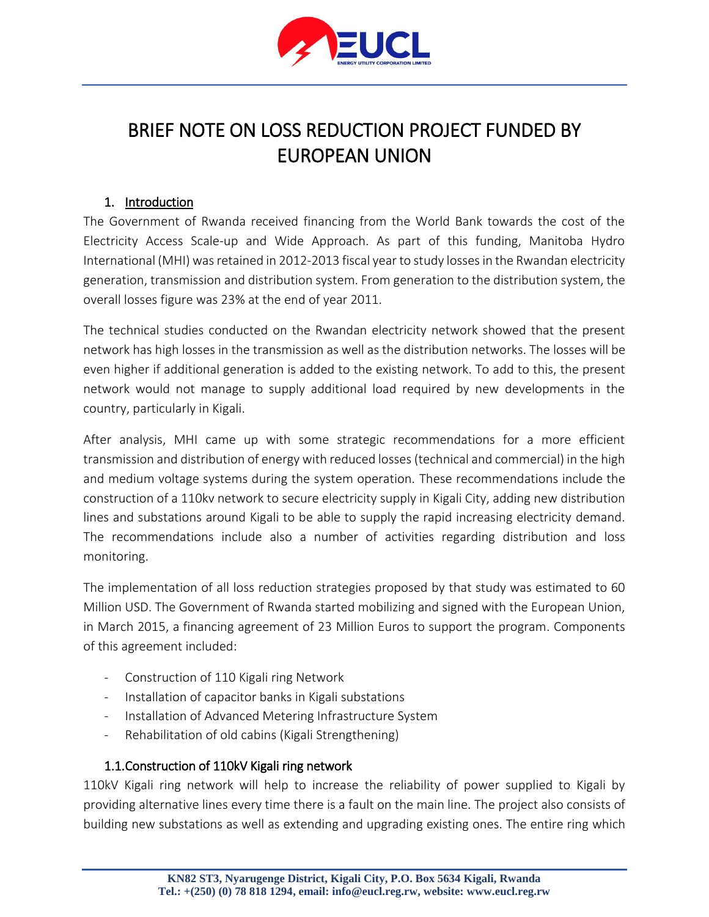

# BRIEF NOTE ON LOSS REDUCTION PROJECT FUNDED BY EUROPEAN UNION

## 1. Introduction

The Government of Rwanda received financing from the World Bank towards the cost of the Electricity Access Scale-up and Wide Approach. As part of this funding, Manitoba Hydro International (MHI) was retained in 2012-2013 fiscal year to study losses in the Rwandan electricity generation, transmission and distribution system. From generation to the distribution system, the overall losses figure was 23% at the end of year 2011.

The technical studies conducted on the Rwandan electricity network showed that the present network has high losses in the transmission as well as the distribution networks. The losses will be even higher if additional generation is added to the existing network. To add to this, the present network would not manage to supply additional load required by new developments in the country, particularly in Kigali.

After analysis, MHI came up with some strategic recommendations for a more efficient transmission and distribution of energy with reduced losses (technical and commercial) in the high and medium voltage systems during the system operation. These recommendations include the construction of a 110kv network to secure electricity supply in Kigali City, adding new distribution lines and substations around Kigali to be able to supply the rapid increasing electricity demand. The recommendations include also a number of activities regarding distribution and loss monitoring.

The implementation of all loss reduction strategies proposed by that study was estimated to 60 Million USD. The Government of Rwanda started mobilizing and signed with the European Union, in March 2015, a financing agreement of 23 Million Euros to support the program. Components of this agreement included:

- Construction of 110 Kigali ring Network
- Installation of capacitor banks in Kigali substations
- Installation of Advanced Metering Infrastructure System
- Rehabilitation of old cabins (Kigali Strengthening)

### 1.1.Construction of 110kV Kigali ring network

110kV Kigali ring network will help to increase the reliability of power supplied to Kigali by providing alternative lines every time there is a fault on the main line. The project also consists of building new substations as well as extending and upgrading existing ones. The entire ring which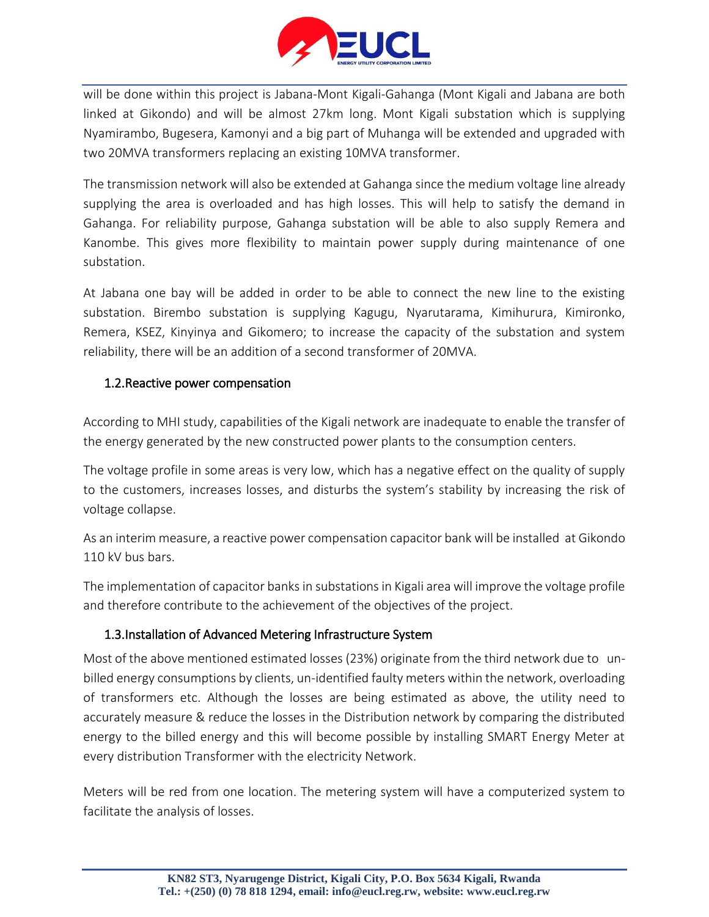

will be done within this project is Jabana-Mont Kigali-Gahanga (Mont Kigali and Jabana are both linked at Gikondo) and will be almost 27km long. Mont Kigali substation which is supplying Nyamirambo, Bugesera, Kamonyi and a big part of Muhanga will be extended and upgraded with two 20MVA transformers replacing an existing 10MVA transformer.

The transmission network will also be extended at Gahanga since the medium voltage line already supplying the area is overloaded and has high losses. This will help to satisfy the demand in Gahanga. For reliability purpose, Gahanga substation will be able to also supply Remera and Kanombe. This gives more flexibility to maintain power supply during maintenance of one substation.

At Jabana one bay will be added in order to be able to connect the new line to the existing substation. Birembo substation is supplying Kagugu, Nyarutarama, Kimihurura, Kimironko, Remera, KSEZ, Kinyinya and Gikomero; to increase the capacity of the substation and system reliability, there will be an addition of a second transformer of 20MVA.

### 1.2.Reactive power compensation

According to MHI study, capabilities of the Kigali network are inadequate to enable the transfer of the energy generated by the new constructed power plants to the consumption centers.

The voltage profile in some areas is very low, which has a negative effect on the quality of supply to the customers, increases losses, and disturbs the system's stability by increasing the risk of voltage collapse.

As an interim measure, a reactive power compensation capacitor bank will be installed at Gikondo 110 kV bus bars.

The implementation of capacitor banks in substations in Kigali area will improve the voltage profile and therefore contribute to the achievement of the objectives of the project.

### 1.3.Installation of Advanced Metering Infrastructure System

Most of the above mentioned estimated losses (23%) originate from the third network due to unbilled energy consumptions by clients, un-identified faulty meters within the network, overloading of transformers etc. Although the losses are being estimated as above, the utility need to accurately measure & reduce the losses in the Distribution network by comparing the distributed energy to the billed energy and this will become possible by installing SMART Energy Meter at every distribution Transformer with the electricity Network.

Meters will be red from one location. The metering system will have a computerized system to facilitate the analysis of losses.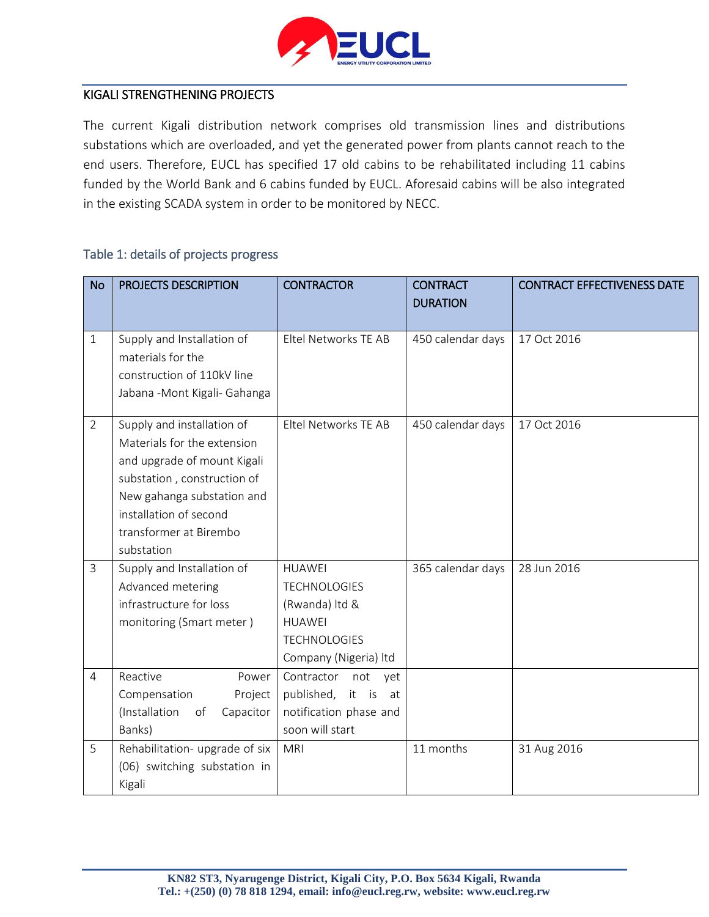

#### KIGALI STRENGTHENING PROJECTS

The current Kigali distribution network comprises old transmission lines and distributions substations which are overloaded, and yet the generated power from plants cannot reach to the end users. Therefore, EUCL has specified 17 old cabins to be rehabilitated including 11 cabins funded by the World Bank and 6 cabins funded by EUCL. Aforesaid cabins will be also integrated in the existing SCADA system in order to be monitored by NECC.

#### Table 1: details of projects progress

| <b>No</b>      | PROJECTS DESCRIPTION             | <b>CONTRACTOR</b>        | <b>CONTRACT</b><br><b>DURATION</b> | <b>CONTRACT EFFECTIVENESS DATE</b> |
|----------------|----------------------------------|--------------------------|------------------------------------|------------------------------------|
|                |                                  |                          |                                    |                                    |
| $\mathbf{1}$   | Supply and Installation of       | Eltel Networks TE AB     | 450 calendar days                  | 17 Oct 2016                        |
|                | materials for the                |                          |                                    |                                    |
|                | construction of 110kV line       |                          |                                    |                                    |
|                | Jabana - Mont Kigali- Gahanga    |                          |                                    |                                    |
| $\overline{2}$ | Supply and installation of       | Eltel Networks TE AB     | 450 calendar days                  | 17 Oct 2016                        |
|                | Materials for the extension      |                          |                                    |                                    |
|                | and upgrade of mount Kigali      |                          |                                    |                                    |
|                | substation, construction of      |                          |                                    |                                    |
|                | New gahanga substation and       |                          |                                    |                                    |
|                | installation of second           |                          |                                    |                                    |
|                | transformer at Birembo           |                          |                                    |                                    |
|                | substation                       |                          |                                    |                                    |
| $\mathsf{3}$   | Supply and Installation of       | <b>HUAWEI</b>            | 365 calendar days                  | 28 Jun 2016                        |
|                | Advanced metering                | <b>TECHNOLOGIES</b>      |                                    |                                    |
|                | infrastructure for loss          | (Rwanda) Itd &           |                                    |                                    |
|                | monitoring (Smart meter)         | <b>HUAWEI</b>            |                                    |                                    |
|                |                                  | <b>TECHNOLOGIES</b>      |                                    |                                    |
|                |                                  | Company (Nigeria) ltd    |                                    |                                    |
| $\overline{4}$ | Reactive<br>Power                | Contractor<br>not<br>yet |                                    |                                    |
|                | Compensation<br>Project          | published, it is<br>at   |                                    |                                    |
|                | (Installation<br>Capacitor<br>of | notification phase and   |                                    |                                    |
|                | Banks)                           | soon will start          |                                    |                                    |
| 5              | Rehabilitation- upgrade of six   | <b>MRI</b>               | 11 months                          | 31 Aug 2016                        |
|                | (06) switching substation in     |                          |                                    |                                    |
|                | Kigali                           |                          |                                    |                                    |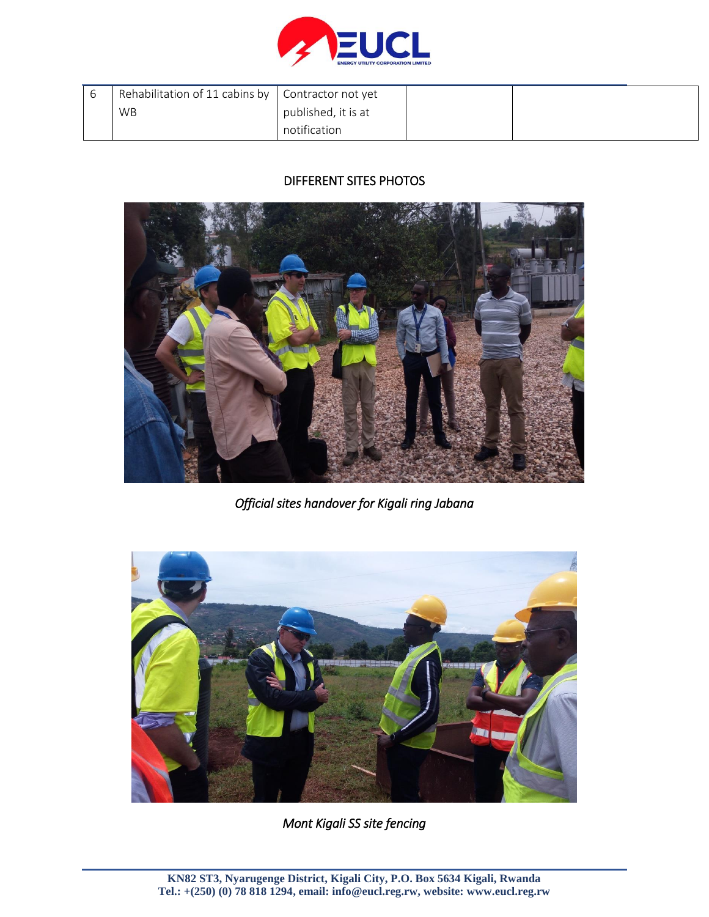

| Rehabilitation of 11 cabins by $\vert$ Contractor not yet |                     |  |  |
|-----------------------------------------------------------|---------------------|--|--|
| <b>WB</b>                                                 | published, it is at |  |  |
|                                                           | notification        |  |  |

# DIFFERENT SITES PHOTOS



*Official sites handover for Kigali ring Jabana* 



*Mont Kigali SS site fencing*